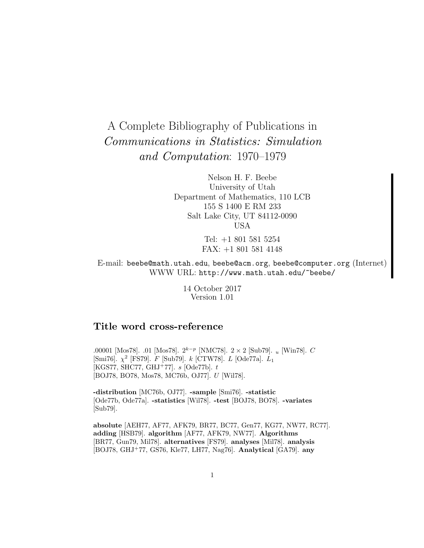# A Complete Bibliography of Publications in Communications in Statistics: Simulation and Computation: 1970–1979

Nelson H. F. Beebe University of Utah Department of Mathematics, 110 LCB 155 S 1400 E RM 233 Salt Lake City, UT 84112-0090 USA

> Tel: +1 801 581 5254 FAX: +1 801 581 4148

E-mail: beebe@math.utah.edu, beebe@acm.org, beebe@computer.org (Internet) WWW URL: http://www.math.utah.edu/~beebe/

> 14 October 2017 Version 1.01

# **Title word cross-reference**

.00001 [Mos78]. .01 [Mos78].  $2^{k-p}$  [NMC78].  $2 \times 2$  [Sub79]. u [Win78]. C [Smi76].  $\chi^2$  [FS79]. F [Sub79]. k [CTW78]. L [Ode77a]. L<sub>1</sub>  $[KGS77, SHC77, GHJ+77]$ . s [Ode77b]. t [BOJ78, BO78, Mos78, MC76b, OJ77]. U [Wil78].

**-distribution** [MC76b, OJ77]. **-sample** [Smi76]. **-statistic** [Ode77b, Ode77a]. **-statistics** [Wil78]. **-test** [BOJ78, BO78]. **-variates** [Sub79].

**absolute** [AEH77, AF77, AFK79, BR77, BC77, Gen77, KG77, NW77, RC77]. **adding** [HSB79]. **algorithm** [AF77, AFK79, NW77]. **Algorithms** [BR77, Gun79, Mil78]. **alternatives** [FS79]. **analyses** [Mil78]. **analysis** [BOJ78, GHJ<sup>+</sup>77, GS76, Kle77, LH77, Nag76]. **Analytical** [GA79]. **any**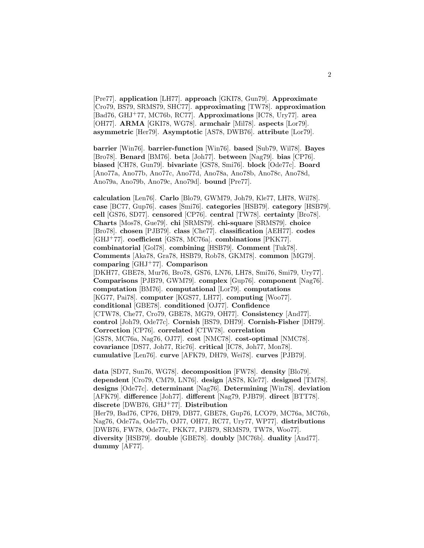[Pre77]. **application** [LH77]. **approach** [GKI78, Gun79]. **Approximate** [Cro79, BS79, SRMS79, SHC77]. **approximating** [TW78]. **approximation** [Bad76, GHJ<sup>+</sup>77, MC76b, RC77]. **Approximations** [IC78, Ury77]. **area** [OH77]. **ARMA** [GKI78, WG78]. **armchair** [Mil78]. **aspects** [Lor79]. **asymmetric** [Her79]. **Asymptotic** [AS78, DWB76]. **attribute** [Lor79].

**barrier** [Win76]. **barrier-function** [Win76]. **based** [Sub79, Wil78]. **Bayes** [Bro78]. **Benard** [BM76]. **beta** [Joh77]. **between** [Nag79]. **bias** [CP76]. **biased** [CH78, Gun79]. **bivariate** [GS78, Smi76]. **block** [Ode77c]. **Board** [Ano77a, Ano77b, Ano77c, Ano77d, Ano78a, Ano78b, Ano78c, Ano78d, Ano79a, Ano79b, Ano79c, Ano79d]. **bound** [Pre77].

**calculation** [Len76]. **Carlo** [Blo79, GWM79, Joh79, Kle77, LH78, Wil78]. **case** [BC77, Gup76]. **cases** [Smi76]. **categories** [HSB79]. **category** [HSB79]. **cell** [GS76, SD77]. **censored** [CP76]. **central** [TW78]. **certainty** [Bro78]. **Charts** [Mos78, Gue79]. **chi** [SRMS79]. **chi-square** [SRMS79]. **choice** [Bro78]. **chosen** [PJB79]. **class** [Che77]. **classification** [AEH77]. **codes** [GHJ<sup>+</sup>77]. **coefficient** [GS78, MC76a]. **combinations** [PKK77]. **combinatorial** [Gol78]. **combining** [HSB79]. **Comment** [Tuk78]. **Comments** [Aka78, Gra78, HSB79, Rob78, GKM78]. **common** [MG79]. **comparing** [GHJ<sup>+</sup>77]. **Comparison** [DKH77, GBE78, Mur76, Bro78, GS76, LN76, LH78, Smi76, Smi79, Ury77]. **Comparisons** [PJB79, GWM79]. **complex** [Gup76]. **component** [Nag76]. **computation** [BM76]. **computational** [Lor79]. **computations** [KG77, Pai78]. **computer** [KGS77, LH77]. **computing** [Woo77]. **conditional** [GBE78]. **conditioned** [OJ77]. **Confidence** [CTW78, Che77, Cro79, GBE78, MG79, OH77]. **Consistency** [And77]. **control** [Joh79, Ode77c]. **Cornish** [BS79, DH79]. **Cornish-Fisher** [DH79]. **Correction** [CP76]. **correlated** [CTW78]. **correlation** [GS78, MC76a, Nag76, OJ77]. **cost** [NMC78]. **cost-optimal** [NMC78]. **covariance** [DS77, Joh77, Ric76]. **critical** [IC78, Joh77, Mon78]. **cumulative** [Len76]. **curve** [AFK79, DH79, Wei78]. **curves** [PJB79].

**data** [SD77, Sun76, WG78]. **decomposition** [FW78]. **density** [Blo79]. **dependent** [Cro79, CM79, LN76]. **design** [AS78, Kle77]. **designed** [TM78]. **designs** [Ode77c]. **determinant** [Nag76]. **Determining** [Win78]. **deviation** [AFK79]. **difference** [Joh77]. **different** [Nag79, PJB79]. **direct** [BTT78]. **discrete** [DWB76, GHJ<sup>+</sup>77]. **Distribution** [Her79, Bad76, CP76, DH79, DB77, GBE78, Gup76, LCO79, MC76a, MC76b, Nag76, Ode77a, Ode77b, OJ77, OH77, RC77, Ury77, WP77]. **distributions** [DWB76, FW78, Ode77c, PKK77, PJB79, SRMS79, TW78, Woo77]. **diversity** [HSB79]. **double** [GBE78]. **doubly** [MC76b]. **duality** [And77]. **dummy** [AF77].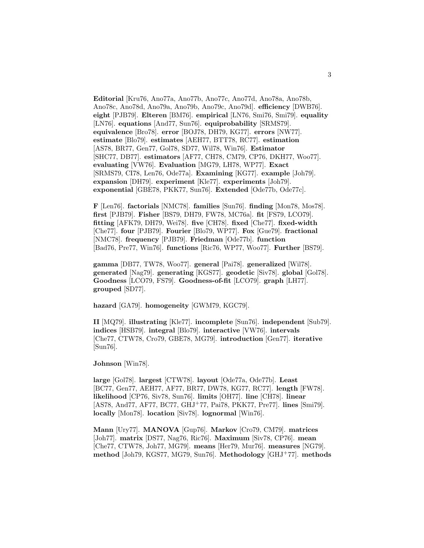**Editorial** [Kru76, Ano77a, Ano77b, Ano77c, Ano77d, Ano78a, Ano78b, Ano78c, Ano78d, Ano79a, Ano79b, Ano79c, Ano79d]. **efficiency** [DWB76]. **eight** [PJB79]. **Elteren** [BM76]. **empirical** [LN76, Smi76, Smi79]. **equality** [LN76]. **equations** [And77, Sun76]. **equiprobability** [SRMS79]. **equivalence** [Bro78]. **error** [BOJ78, DH79, KG77]. **errors** [NW77]. **estimate** [Blo79]. **estimates** [AEH77, BTT78, RC77]. **estimation** [AS78, BR77, Gen77, Gol78, SD77, Wil78, Win76]. **Estimator** [SHC77, DB77]. **estimators** [AF77, CH78, CM79, CP76, DKH77, Woo77]. **evaluating** [VW76]. **Evaluation** [MG79, LH78, WP77]. **Exact** [SRMS79, CI78, Len76, Ode77a]. **Examining** [KG77]. **example** [Joh79]. **expansion** [DH79]. **experiment** [Kle77]. **experiments** [Joh79]. **exponential** [GBE78, PKK77, Sun76]. **Extended** [Ode77b, Ode77c].

**F** [Len76]. **factorials** [NMC78]. **families** [Sun76]. **finding** [Mon78, Mos78]. **first** [PJB79]. **Fisher** [BS79, DH79, FW78, MC76a]. **fit** [FS79, LCO79]. **fitting** [AFK79, DH79, Wei78]. **five** [CH78]. **fixed** [Che77]. **fixed-width** [Che77]. **four** [PJB79]. **Fourier** [Blo79, WP77]. **Fox** [Gue79]. **fractional** [NMC78]. **frequency** [PJB79]. **Friedman** [Ode77b]. **function** [Bad76, Pre77, Win76]. **functions** [Ric76, WP77, Woo77]. **Further** [BS79].

**gamma** [DB77, TW78, Woo77]. **general** [Pai78]. **generalized** [Wil78]. **generated** [Nag79]. **generating** [KGS77]. **geodetic** [Siv78]. **global** [Gol78]. **Goodness** [LCO79, FS79]. **Goodness-of-fit** [LCO79]. **graph** [LH77]. **grouped** [SD77].

**hazard** [GA79]. **homogeneity** [GWM79, KGC79].

**II** [MQ79]. **illustrating** [Kle77]. **incomplete** [Sun76]. **independent** [Sub79]. **indices** [HSB79]. **integral** [Blo79]. **interactive** [VW76]. **intervals** [Che77, CTW78, Cro79, GBE78, MG79]. **introduction** [Gen77]. **iterative** [Sun76].

**Johnson** [Win78].

**large** [Gol78]. **largest** [CTW78]. **layout** [Ode77a, Ode77b]. **Least** [BC77, Gen77, AEH77, AF77, BR77, DW78, KG77, RC77]. **length** [FW78]. **likelihood** [CP76, Siv78, Sun76]. **limits** [OH77]. **line** [CH78]. **linear** [AS78, And77, AF77, BC77, GHJ<sup>+</sup>77, Pai78, PKK77, Pre77]. **lines** [Smi79]. **locally** [Mon78]. **location** [Siv78]. **lognormal** [Win76].

**Mann** [Ury77]. **MANOVA** [Gup76]. **Markov** [Cro79, CM79]. **matrices** [Joh77]. **matrix** [DS77, Nag76, Ric76]. **Maximum** [Siv78, CP76]. **mean** [Che77, CTW78, Joh77, MG79]. **means** [Her79, Mur76]. **measures** [NG79]. **method** [Joh79, KGS77, MG79, Sun76]. **Methodology** [GHJ<sup>+</sup>77]. **methods**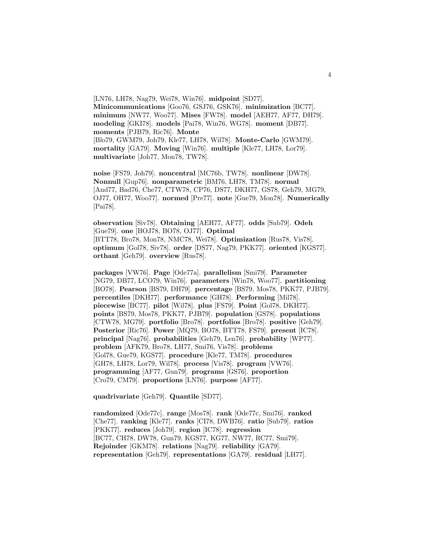[LN76, LH78, Nag79, Wei78, Win76]. **midpoint** [SD77]. **Minicommunications** [Goo76, GSJ76, GSK76]. **minimization** [BC77]. **minimum** [NW77, Woo77]. **Mises** [FW78]. **model** [AEH77, AF77, DH79]. **modeling** [GKI78]. **models** [Pai78, Win76, WG78]. **moment** [DB77]. **moments** [PJB79, Ric76]. **Monte** [Blo79, GWM79, Joh79, Kle77, LH78, Wil78]. **Monte-Carlo** [GWM79]. **mortality** [GA79]. **Moving** [Win76]. **multiple** [Kle77, LH78, Lor79]. **multivariate** [Joh77, Mon78, TW78].

**noise** [FS79, Joh79]. **noncentral** [MC76b, TW78]. **nonlinear** [DW78]. **Nonnull** [Gup76]. **nonparametric** [BM76, LH78, TM78]. **normal** [And77, Bad76, Che77, CTW78, CP76, DS77, DKH77, GS78, Geh79, MG79, OJ77, OH77, Woo77]. **normed** [Pre77]. **note** [Gue79, Mon78]. **Numerically** [Pai78].

**observation** [Siv78]. **Obtaining** [AEH77, AF77]. **odds** [Sub79]. **Odeh** [Gue79]. **one** [BOJ78, BO78, OJ77]. **Optimal** [BTT78, Bro78, Mon78, NMC78, Wei78]. **Optimization** [Rus78, Vis78]. **optimum** [Gol78, Siv78]. **order** [DS77, Nag79, PKK77]. **oriented** [KGS77]. **orthant** [Geh79]. **overview** [Rus78].

**packages** [VW76]. **Page** [Ode77a]. **parallelism** [Smi79]. **Parameter** [NG79, DB77, LCO79, Win76]. **parameters** [Win78, Woo77]. **partitioning** [BO78]. **Pearson** [BS79, DH79]. **percentage** [BS79, Mos78, PKK77, PJB79]. **percentiles** [DKH77]. **performance** [GH78]. **Performing** [Mil78]. **piecewise** [BC77]. **pilot** [Wil78]. **plus** [FS79]. **Point** [Gol78, DKH77]. **points** [BS79, Mos78, PKK77, PJB79]. **population** [GS78]. **populations** [CTW78, MG79]. **portfolio** [Bro78]. **portfolios** [Bro78]. **positive** [Geh79]. **Posterior** [Ric76]. **Power** [MQ79, BO78, BTT78, FS79]. **present** [IC78]. **principal** [Nag76]. **probabilities** [Geh79, Len76]. **probability** [WP77]. **problem** [AFK79, Bro78, LH77, Smi76, Vis78]. **problems** [Gol78, Gue79, KGS77]. **procedure** [Kle77, TM78]. **procedures** [GH78, LH78, Lor79, Wil78]. **process** [Vis78]. **program** [VW76]. **programming** [AF77, Gun79]. **programs** [GS76]. **proportion** [Cro79, CM79]. **proportions** [LN76]. **purpose** [AF77].

**quadrivariate** [Geh79]. **Quantile** [SD77].

**randomized** [Ode77c]. **range** [Mos78]. **rank** [Ode77c, Smi76]. **ranked** [Che77]. **ranking** [Kle77]. **ranks** [CI78, DWB76]. **ratio** [Sub79]. **ratios** [PKK77]. **reduces** [Joh79]. **region** [IC78]. **regression** [BC77, CH78, DW78, Gun79, KGS77, KG77, NW77, RC77, Smi79]. **Rejoinder** [GKM78]. **relations** [Nag79]. **reliability** [GA79]. **representation** [Geh79]. **representations** [GA79]. **residual** [LH77].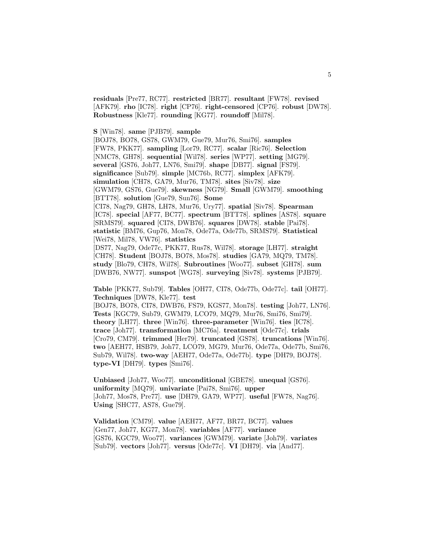**residuals** [Pre77, RC77]. **restricted** [BR77]. **resultant** [FW78]. **revised** [AFK79]. **rho** [IC78]. **right** [CP76]. **right-censored** [CP76]. **robust** [DW78]. **Robustness** [Kle77]. **rounding** [KG77]. **roundoff** [Mil78].

**S** [Win78]. **same** [PJB79]. **sample**

[BOJ78, BO78, GS78, GWM79, Gue79, Mur76, Smi76]. **samples** [FW78, PKK77]. **sampling** [Lor79, RC77]. **scalar** [Ric76]. **Selection** [NMC78, GH78]. **sequential** [Wil78]. **series** [WP77]. **setting** [MG79]. **several** [GS76, Joh77, LN76, Smi79]. **shape** [DB77]. **signal** [FS79]. **significance** [Sub79]. **simple** [MC76b, RC77]. **simplex** [AFK79]. **simulation** [CH78, GA79, Mur76, TM78]. **sites** [Siv78]. **size** [GWM79, GS76, Gue79]. **skewness** [NG79]. **Small** [GWM79]. **smoothing** [BTT78]. **solution** [Gue79, Sun76]. **Some** [CI78, Nag79, GH78, LH78, Mur76, Ury77]. **spatial** [Siv78]. **Spearman**

[IC78]. **special** [AF77, BC77]. **spectrum** [BTT78]. **splines** [AS78]. **square** [SRMS79]. **squared** [CI78, DWB76]. **squares** [DW78]. **stable** [Pai78]. **statistic** [BM76, Gup76, Mon78, Ode77a, Ode77b, SRMS79]. **Statistical** [Wei78, Mil78, VW76]. **statistics**

[DS77, Nag79, Ode77c, PKK77, Rus78, Wil78]. **storage** [LH77]. **straight** [CH78]. **Student** [BOJ78, BO78, Mos78]. **studies** [GA79, MQ79, TM78]. **study** [Blo79, CH78, Wil78]. **Subroutines** [Woo77]. **subset** [GH78]. **sum** [DWB76, NW77]. **sunspot** [WG78]. **surveying** [Siv78]. **systems** [PJB79].

**Table** [PKK77, Sub79]. **Tables** [OH77, CI78, Ode77b, Ode77c]. **tail** [OH77]. **Techniques** [DW78, Kle77]. **test**

[BOJ78, BO78, CI78, DWB76, FS79, KGS77, Mon78]. **testing** [Joh77, LN76]. **Tests** [KGC79, Sub79, GWM79, LCO79, MQ79, Mur76, Smi76, Smi79]. **theory** [LH77]. **three** [Win76]. **three-parameter** [Win76]. **ties** [IC78]. **trace** [Joh77]. **transformation** [MC76a]. **treatment** [Ode77c]. **trials** [Cro79, CM79]. **trimmed** [Her79]. **truncated** [GS78]. **truncations** [Win76]. **two** [AEH77, HSB79, Joh77, LCO79, MG79, Mur76, Ode77a, Ode77b, Smi76, Sub79, Wil78]. **two-way** [AEH77, Ode77a, Ode77b]. **type** [DH79, BOJ78]. **type-VI** [DH79]. **types** [Smi76].

**Unbiased** [Joh77, Woo77]. **unconditional** [GBE78]. **unequal** [GS76]. **uniformity** [MQ79]. **univariate** [Pai78, Smi76]. **upper** [Joh77, Mos78, Pre77]. **use** [DH79, GA79, WP77]. **useful** [FW78, Nag76]. **Using** [SHC77, AS78, Gue79].

**Validation** [CM79]. **value** [AEH77, AF77, BR77, BC77]. **values** [Gen77, Joh77, KG77, Mon78]. **variables** [AF77]. **variance** [GS76, KGC79, Woo77]. **variances** [GWM79]. **variate** [Joh79]. **variates** [Sub79]. **vectors** [Joh77]. **versus** [Ode77c]. **VI** [DH79]. **via** [And77].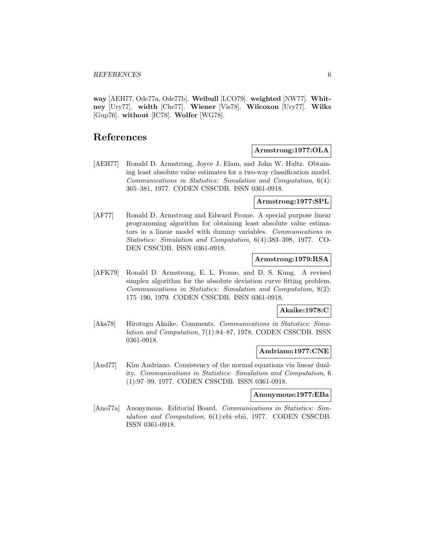**way** [AEH77, Ode77a, Ode77b]. **Weibull** [LCO79]. **weighted** [NW77]. **Whitney** [Ury77]. **width** [Che77]. **Wiener** [Vis78]. **Wilcoxon** [Ury77]. **Wilks** [Gup76]. **without** [IC78]. **Wolfer** [WG78].

# **References**

# [AEH77] Ronald D. Armstrong, Joyce J. Elam, and John W. Hultz. Obtaining least absolute value estimates for a two-way classification model. Communications in Statistics: Simulation and Computation, 6(4): 365–381, 1977. CODEN CSSCDB. ISSN 0361-0918.

#### **Armstrong:1977:SPL**

**Armstrong:1977:OLA**

[AF77] Ronald D. Armstrong and Edward Frome. A special purpose linear programming algorithm for obtaining least absolute value estimators in a linear model with dummy variables. Communications in Statistics: Simulation and Computation, 6(4):383–398, 1977. CO-DEN CSSCDB. ISSN 0361-0918.

#### **Armstrong:1979:RSA**

[AFK79] Ronald D. Armstrong, E. L. Frome, and D. S. Kung. A revised simplex algorithm for the absolute deviation curve fitting problem. Communications in Statistics: Simulation and Computation, 8(2): 175–190, 1979. CODEN CSSCDB. ISSN 0361-0918.

## **Akaike:1978:C**

[Aka78] Hirotugu Akaike. Comments. Communications in Statistics: Simulation and Computation, 7(1):84–87, 1978. CODEN CSSCDB. ISSN 0361-0918.

#### **Andriano:1977:CNE**

[And77] Kim Andriano. Consistency of the normal equations via linear duality. Communications in Statistics: Simulation and Computation, 6 (1):97–99, 1977. CODEN CSSCDB. ISSN 0361-0918.

#### **Anonymous:1977:EBa**

[Ano77a] Anonymous. Editorial Board. Communications in Statistics: Simulation and Computation, 6(1):ebi–ebii, 1977. CODEN CSSCDB. ISSN 0361-0918.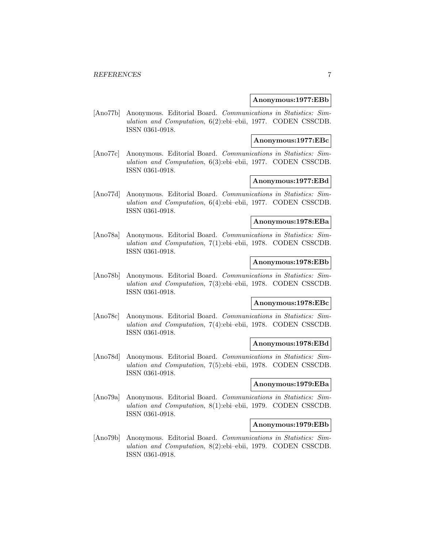#### **Anonymous:1977:EBb**

[Ano77b] Anonymous. Editorial Board. Communications in Statistics: Simulation and Computation, 6(2):ebi–ebii, 1977. CODEN CSSCDB. ISSN 0361-0918.

#### **Anonymous:1977:EBc**

[Ano77c] Anonymous. Editorial Board. Communications in Statistics: Simulation and Computation, 6(3):ebi–ebii, 1977. CODEN CSSCDB. ISSN 0361-0918.

#### **Anonymous:1977:EBd**

[Ano77d] Anonymous. Editorial Board. Communications in Statistics: Simulation and Computation, 6(4):ebi–ebii, 1977. CODEN CSSCDB. ISSN 0361-0918.

#### **Anonymous:1978:EBa**

[Ano78a] Anonymous. Editorial Board. Communications in Statistics: Simulation and Computation, 7(1):ebi–ebii, 1978. CODEN CSSCDB. ISSN 0361-0918.

#### **Anonymous:1978:EBb**

[Ano78b] Anonymous. Editorial Board. Communications in Statistics: Simulation and Computation, 7(3):ebi–ebii, 1978. CODEN CSSCDB. ISSN 0361-0918.

#### **Anonymous:1978:EBc**

[Ano78c] Anonymous. Editorial Board. Communications in Statistics: Simulation and Computation, 7(4):ebi–ebii, 1978. CODEN CSSCDB. ISSN 0361-0918.

### **Anonymous:1978:EBd**

[Ano78d] Anonymous. Editorial Board. Communications in Statistics: Simulation and Computation, 7(5):ebi–ebii, 1978. CODEN CSSCDB. ISSN 0361-0918.

#### **Anonymous:1979:EBa**

[Ano79a] Anonymous. Editorial Board. Communications in Statistics: Simulation and Computation, 8(1):ebi–ebii, 1979. CODEN CSSCDB. ISSN 0361-0918.

#### **Anonymous:1979:EBb**

[Ano79b] Anonymous. Editorial Board. Communications in Statistics: Simulation and Computation, 8(2):ebi–ebii, 1979. CODEN CSSCDB. ISSN 0361-0918.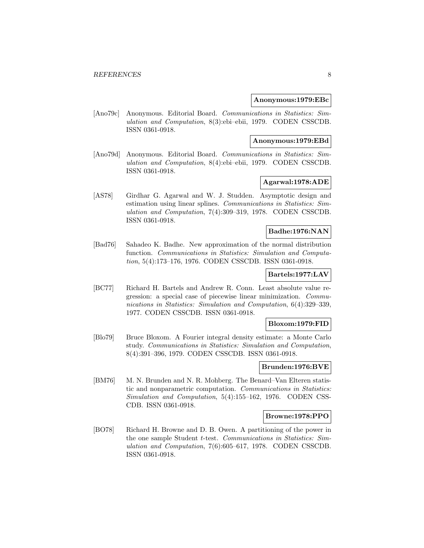#### **Anonymous:1979:EBc**

[Ano79c] Anonymous. Editorial Board. Communications in Statistics: Simulation and Computation, 8(3):ebi–ebii, 1979. CODEN CSSCDB. ISSN 0361-0918.

#### **Anonymous:1979:EBd**

[Ano79d] Anonymous. Editorial Board. Communications in Statistics: Simulation and Computation, 8(4):ebi–ebii, 1979. CODEN CSSCDB. ISSN 0361-0918.

# **Agarwal:1978:ADE**

[AS78] Girdhar G. Agarwal and W. J. Studden. Asymptotic design and estimation using linear splines. Communications in Statistics: Simulation and Computation, 7(4):309–319, 1978. CODEN CSSCDB. ISSN 0361-0918.

# **Badhe:1976:NAN**

[Bad76] Sahadeo K. Badhe. New approximation of the normal distribution function. Communications in Statistics: Simulation and Computation, 5(4):173–176, 1976. CODEN CSSCDB. ISSN 0361-0918.

# **Bartels:1977:LAV**

[BC77] Richard H. Bartels and Andrew R. Conn. Least absolute value regression: a special case of piecewise linear minimization. Communications in Statistics: Simulation and Computation, 6(4):329–339, 1977. CODEN CSSCDB. ISSN 0361-0918.

# **Bloxom:1979:FID**

[Blo79] Bruce Bloxom. A Fourier integral density estimate: a Monte Carlo study. Communications in Statistics: Simulation and Computation, 8(4):391–396, 1979. CODEN CSSCDB. ISSN 0361-0918.

#### **Brunden:1976:BVE**

[BM76] M. N. Brunden and N. R. Mohberg. The Benard–Van Elteren statistic and nonparametric computation. Communications in Statistics: Simulation and Computation, 5(4):155–162, 1976. CODEN CSS-CDB. ISSN 0361-0918.

#### **Browne:1978:PPO**

[BO78] Richard H. Browne and D. B. Owen. A partitioning of the power in the one sample Student t-test. Communications in Statistics: Simulation and Computation, 7(6):605–617, 1978. CODEN CSSCDB. ISSN 0361-0918.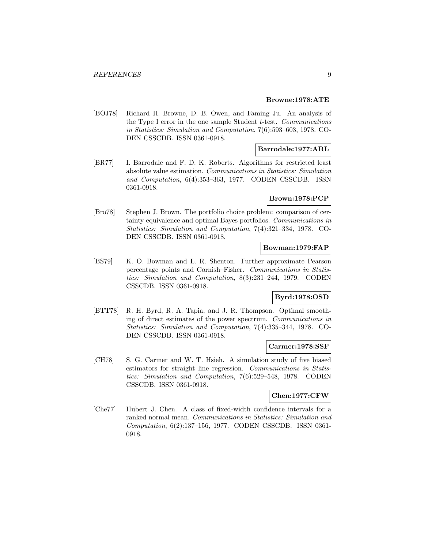#### **Browne:1978:ATE**

[BOJ78] Richard H. Browne, D. B. Owen, and Faming Ju. An analysis of the Type I error in the one sample Student t-test. Communications in Statistics: Simulation and Computation, 7(6):593–603, 1978. CO-DEN CSSCDB. ISSN 0361-0918.

# **Barrodale:1977:ARL**

[BR77] I. Barrodale and F. D. K. Roberts. Algorithms for restricted least absolute value estimation. Communications in Statistics: Simulation and Computation, 6(4):353–363, 1977. CODEN CSSCDB. ISSN 0361-0918.

# **Brown:1978:PCP**

[Bro78] Stephen J. Brown. The portfolio choice problem: comparison of certainty equivalence and optimal Bayes portfolios. Communications in Statistics: Simulation and Computation, 7(4):321–334, 1978. CO-DEN CSSCDB. ISSN 0361-0918.

#### **Bowman:1979:FAP**

[BS79] K. O. Bowman and L. R. Shenton. Further approximate Pearson percentage points and Cornish–Fisher. Communications in Statistics: Simulation and Computation, 8(3):231–244, 1979. CODEN CSSCDB. ISSN 0361-0918.

# **Byrd:1978:OSD**

[BTT78] R. H. Byrd, R. A. Tapia, and J. R. Thompson. Optimal smoothing of direct estimates of the power spectrum. Communications in Statistics: Simulation and Computation, 7(4):335–344, 1978. CO-DEN CSSCDB. ISSN 0361-0918.

#### **Carmer:1978:SSF**

[CH78] S. G. Carmer and W. T. Hsieh. A simulation study of five biased estimators for straight line regression. Communications in Statistics: Simulation and Computation, 7(6):529–548, 1978. CODEN CSSCDB. ISSN 0361-0918.

## **Chen:1977:CFW**

[Che77] Hubert J. Chen. A class of fixed-width confidence intervals for a ranked normal mean. Communications in Statistics: Simulation and Computation, 6(2):137–156, 1977. CODEN CSSCDB. ISSN 0361- 0918.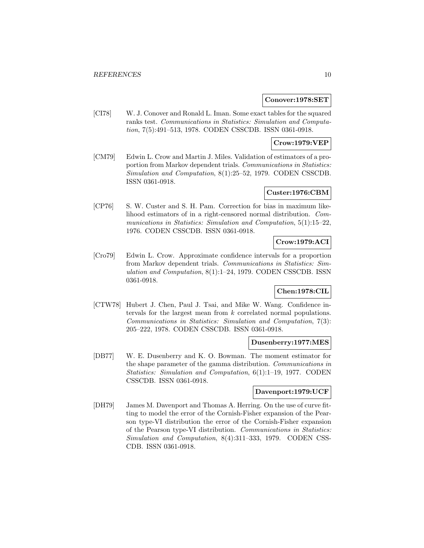#### **Conover:1978:SET**

[CI78] W. J. Conover and Ronald L. Iman. Some exact tables for the squared ranks test. Communications in Statistics: Simulation and Computation, 7(5):491–513, 1978. CODEN CSSCDB. ISSN 0361-0918.

# **Crow:1979:VEP**

[CM79] Edwin L. Crow and Martin J. Miles. Validation of estimators of a proportion from Markov dependent trials. Communications in Statistics: Simulation and Computation, 8(1):25–52, 1979. CODEN CSSCDB. ISSN 0361-0918.

# **Custer:1976:CBM**

[CP76] S. W. Custer and S. H. Pam. Correction for bias in maximum likelihood estimators of in a right-censored normal distribution. Communications in Statistics: Simulation and Computation, 5(1):15–22, 1976. CODEN CSSCDB. ISSN 0361-0918.

# **Crow:1979:ACI**

[Cro79] Edwin L. Crow. Approximate confidence intervals for a proportion from Markov dependent trials. Communications in Statistics: Simulation and Computation, 8(1):1–24, 1979. CODEN CSSCDB. ISSN 0361-0918.

# **Chen:1978:CIL**

[CTW78] Hubert J. Chen, Paul J. Tsai, and Mike W. Wang. Confidence intervals for the largest mean from k correlated normal populations. Communications in Statistics: Simulation and Computation, 7(3): 205–222, 1978. CODEN CSSCDB. ISSN 0361-0918.

#### **Dusenberry:1977:MES**

[DB77] W. E. Dusenberry and K. O. Bowman. The moment estimator for the shape parameter of the gamma distribution. Communications in Statistics: Simulation and Computation, 6(1):1–19, 1977. CODEN CSSCDB. ISSN 0361-0918.

#### **Davenport:1979:UCF**

[DH79] James M. Davenport and Thomas A. Herring. On the use of curve fitting to model the error of the Cornish-Fisher expansion of the Pearson type-VI distribution the error of the Cornish-Fisher expansion of the Pearson type-VI distribution. Communications in Statistics: Simulation and Computation, 8(4):311–333, 1979. CODEN CSS-CDB. ISSN 0361-0918.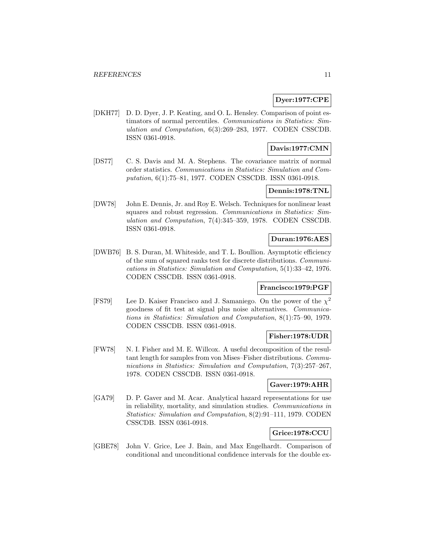# **Dyer:1977:CPE**

[DKH77] D. D. Dyer, J. P. Keating, and O. L. Hensley. Comparison of point estimators of normal percentiles. Communications in Statistics: Simulation and Computation, 6(3):269–283, 1977. CODEN CSSCDB. ISSN 0361-0918.

# **Davis:1977:CMN**

[DS77] C. S. Davis and M. A. Stephens. The covariance matrix of normal order statistics. Communications in Statistics: Simulation and Computation, 6(1):75–81, 1977. CODEN CSSCDB. ISSN 0361-0918.

#### **Dennis:1978:TNL**

[DW78] John E. Dennis, Jr. and Roy E. Welsch. Techniques for nonlinear least squares and robust regression. Communications in Statistics: Simulation and Computation, 7(4):345–359, 1978. CODEN CSSCDB. ISSN 0361-0918.

# **Duran:1976:AES**

[DWB76] B. S. Duran, M. Whiteside, and T. L. Boullion. Asymptotic efficiency of the sum of squared ranks test for discrete distributions. Communications in Statistics: Simulation and Computation, 5(1):33–42, 1976. CODEN CSSCDB. ISSN 0361-0918.

# **Francisco:1979:PGF**

[FS79] Lee D. Kaiser Francisco and J. Samaniego. On the power of the  $\chi^2$ goodness of fit test at signal plus noise alternatives. Communications in Statistics: Simulation and Computation, 8(1):75–90, 1979. CODEN CSSCDB. ISSN 0361-0918.

# **Fisher:1978:UDR**

[FW78] N. I. Fisher and M. E. Willcox. A useful decomposition of the resultant length for samples from von Mises–Fisher distributions. Communications in Statistics: Simulation and Computation, 7(3):257–267, 1978. CODEN CSSCDB. ISSN 0361-0918.

#### **Gaver:1979:AHR**

[GA79] D. P. Gaver and M. Acar. Analytical hazard representations for use in reliability, mortality, and simulation studies. Communications in Statistics: Simulation and Computation, 8(2):91–111, 1979. CODEN CSSCDB. ISSN 0361-0918.

# **Grice:1978:CCU**

[GBE78] John V. Grice, Lee J. Bain, and Max Engelhardt. Comparison of conditional and unconditional confidence intervals for the double ex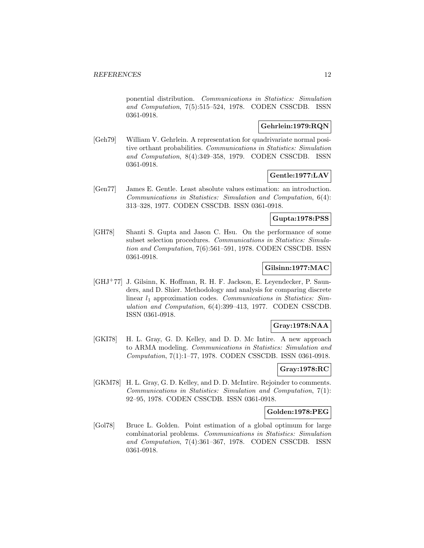ponential distribution. Communications in Statistics: Simulation and Computation, 7(5):515–524, 1978. CODEN CSSCDB. ISSN 0361-0918.

# **Gehrlein:1979:RQN**

[Geh79] William V. Gehrlein. A representation for quadrivariate normal positive orthant probabilities. Communications in Statistics: Simulation and Computation, 8(4):349–358, 1979. CODEN CSSCDB. ISSN 0361-0918.

# **Gentle:1977:LAV**

[Gen77] James E. Gentle. Least absolute values estimation: an introduction. Communications in Statistics: Simulation and Computation, 6(4): 313–328, 1977. CODEN CSSCDB. ISSN 0361-0918.

#### **Gupta:1978:PSS**

[GH78] Shanti S. Gupta and Jason C. Hsu. On the performance of some subset selection procedures. Communications in Statistics: Simulation and Computation, 7(6):561–591, 1978. CODEN CSSCDB. ISSN 0361-0918.

# **Gilsinn:1977:MAC**

[GHJ<sup>+</sup>77] J. Gilsinn, K. Hoffman, R. H. F. Jackson, E. Leyendecker, P. Saunders, and D. Shier. Methodology and analysis for comparing discrete linear  $l_1$  approximation codes. Communications in Statistics: Simulation and Computation, 6(4):399–413, 1977. CODEN CSSCDB. ISSN 0361-0918.

# **Gray:1978:NAA**

[GKI78] H. L. Gray, G. D. Kelley, and D. D. Mc Intire. A new approach to ARMA modeling. Communications in Statistics: Simulation and Computation, 7(1):1–77, 1978. CODEN CSSCDB. ISSN 0361-0918.

# **Gray:1978:RC**

[GKM78] H. L. Gray, G. D. Kelley, and D. D. McIntire. Rejoinder to comments. Communications in Statistics: Simulation and Computation, 7(1): 92–95, 1978. CODEN CSSCDB. ISSN 0361-0918.

#### **Golden:1978:PEG**

[Gol78] Bruce L. Golden. Point estimation of a global optimum for large combinatorial problems. Communications in Statistics: Simulation and Computation, 7(4):361–367, 1978. CODEN CSSCDB. ISSN 0361-0918.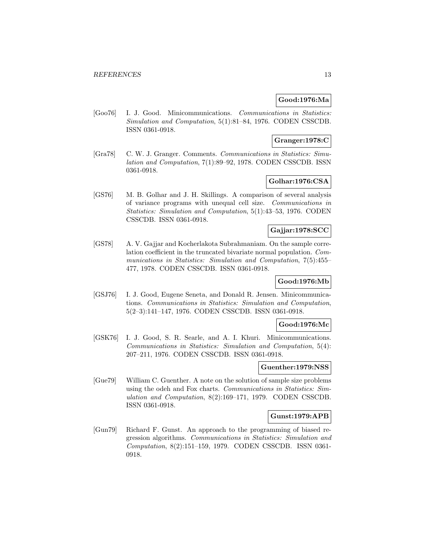# **Good:1976:Ma**

[Goo76] I. J. Good. Minicommunications. Communications in Statistics: Simulation and Computation, 5(1):81–84, 1976. CODEN CSSCDB. ISSN 0361-0918.

#### **Granger:1978:C**

[Gra78] C. W. J. Granger. Comments. Communications in Statistics: Simulation and Computation, 7(1):89–92, 1978. CODEN CSSCDB. ISSN 0361-0918.

# **Golhar:1976:CSA**

[GS76] M. B. Golhar and J. H. Skillings. A comparison of several analysis of variance programs with unequal cell size. Communications in Statistics: Simulation and Computation, 5(1):43–53, 1976. CODEN CSSCDB. ISSN 0361-0918.

# **Gajjar:1978:SCC**

[GS78] A. V. Gajjar and Kocherlakota Subrahmaniam. On the sample correlation coefficient in the truncated bivariate normal population. Communications in Statistics: Simulation and Computation, 7(5):455– 477, 1978. CODEN CSSCDB. ISSN 0361-0918.

# **Good:1976:Mb**

[GSJ76] I. J. Good, Eugene Seneta, and Donald R. Jensen. Minicommunications. Communications in Statistics: Simulation and Computation, 5(2–3):141–147, 1976. CODEN CSSCDB. ISSN 0361-0918.

#### **Good:1976:Mc**

[GSK76] I. J. Good, S. R. Searle, and A. I. Khuri. Minicommunications. Communications in Statistics: Simulation and Computation, 5(4): 207–211, 1976. CODEN CSSCDB. ISSN 0361-0918.

#### **Guenther:1979:NSS**

[Gue79] William C. Guenther. A note on the solution of sample size problems using the odeh and Fox charts. Communications in Statistics: Simulation and Computation, 8(2):169–171, 1979. CODEN CSSCDB. ISSN 0361-0918.

#### **Gunst:1979:APB**

[Gun79] Richard F. Gunst. An approach to the programming of biased regression algorithms. Communications in Statistics: Simulation and Computation, 8(2):151–159, 1979. CODEN CSSCDB. ISSN 0361- 0918.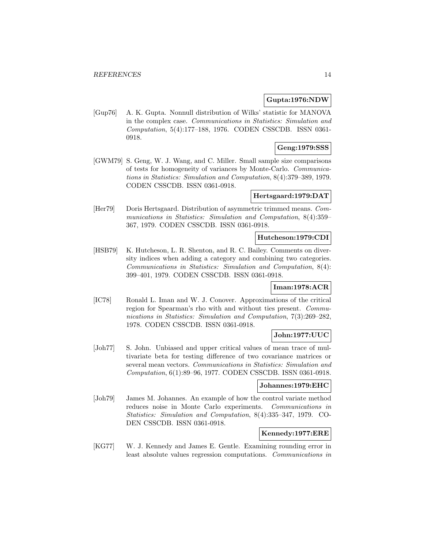#### **Gupta:1976:NDW**

[Gup76] A. K. Gupta. Nonnull distribution of Wilks' statistic for MANOVA in the complex case. Communications in Statistics: Simulation and Computation, 5(4):177–188, 1976. CODEN CSSCDB. ISSN 0361- 0918.

# **Geng:1979:SSS**

[GWM79] S. Geng, W. J. Wang, and C. Miller. Small sample size comparisons of tests for homogeneity of variances by Monte-Carlo. Communications in Statistics: Simulation and Computation, 8(4):379–389, 1979. CODEN CSSCDB. ISSN 0361-0918.

# **Hertsgaard:1979:DAT**

[Her79] Doris Hertsgaard. Distribution of asymmetric trimmed means. Communications in Statistics: Simulation and Computation, 8(4):359– 367, 1979. CODEN CSSCDB. ISSN 0361-0918.

#### **Hutcheson:1979:CDI**

[HSB79] K. Hutcheson, L. R. Shenton, and R. C. Bailey. Comments on diversity indices when adding a category and combining two categories. Communications in Statistics: Simulation and Computation, 8(4): 399–401, 1979. CODEN CSSCDB. ISSN 0361-0918.

# **Iman:1978:ACR**

[IC78] Ronald L. Iman and W. J. Conover. Approximations of the critical region for Spearman's rho with and without ties present. Communications in Statistics: Simulation and Computation, 7(3):269–282, 1978. CODEN CSSCDB. ISSN 0361-0918.

### **John:1977:UUC**

[Joh77] S. John. Unbiased and upper critical values of mean trace of multivariate beta for testing difference of two covariance matrices or several mean vectors. Communications in Statistics: Simulation and Computation, 6(1):89–96, 1977. CODEN CSSCDB. ISSN 0361-0918.

#### **Johannes:1979:EHC**

[Joh79] James M. Johannes. An example of how the control variate method reduces noise in Monte Carlo experiments. Communications in Statistics: Simulation and Computation, 8(4):335–347, 1979. CO-DEN CSSCDB. ISSN 0361-0918.

#### **Kennedy:1977:ERE**

[KG77] W. J. Kennedy and James E. Gentle. Examining rounding error in least absolute values regression computations. Communications in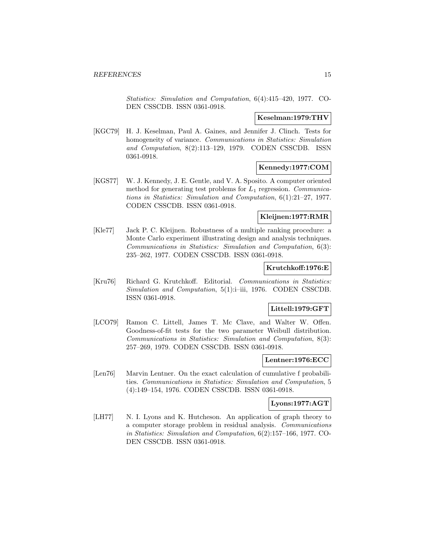Statistics: Simulation and Computation, 6(4):415–420, 1977. CO-DEN CSSCDB. ISSN 0361-0918.

#### **Keselman:1979:THV**

[KGC79] H. J. Keselman, Paul A. Gaines, and Jennifer J. Clinch. Tests for homogeneity of variance. Communications in Statistics: Simulation and Computation, 8(2):113–129, 1979. CODEN CSSCDB. ISSN 0361-0918.

#### **Kennedy:1977:COM**

[KGS77] W. J. Kennedy, J. E. Gentle, and V. A. Sposito. A computer oriented method for generating test problems for  $L_1$  regression. Communications in Statistics: Simulation and Computation, 6(1):21–27, 1977. CODEN CSSCDB. ISSN 0361-0918.

# **Kleijnen:1977:RMR**

[Kle77] Jack P. C. Kleijnen. Robustness of a multiple ranking procedure: a Monte Carlo experiment illustrating design and analysis techniques. Communications in Statistics: Simulation and Computation, 6(3): 235–262, 1977. CODEN CSSCDB. ISSN 0361-0918.

# **Krutchkoff:1976:E**

[Kru76] Richard G. Krutchkoff. Editorial. Communications in Statistics: Simulation and Computation, 5(1):i-iii, 1976. CODEN CSSCDB. ISSN 0361-0918.

# **Littell:1979:GFT**

[LCO79] Ramon C. Littell, James T. Mc Clave, and Walter W. Offen. Goodness-of-fit tests for the two parameter Weibull distribution. Communications in Statistics: Simulation and Computation, 8(3): 257–269, 1979. CODEN CSSCDB. ISSN 0361-0918.

#### **Lentner:1976:ECC**

[Len76] Marvin Lentner. On the exact calculation of cumulative f probabilities. Communications in Statistics: Simulation and Computation, 5 (4):149–154, 1976. CODEN CSSCDB. ISSN 0361-0918.

# **Lyons:1977:AGT**

[LH77] N. I. Lyons and K. Hutcheson. An application of graph theory to a computer storage problem in residual analysis. Communications in Statistics: Simulation and Computation, 6(2):157–166, 1977. CO-DEN CSSCDB. ISSN 0361-0918.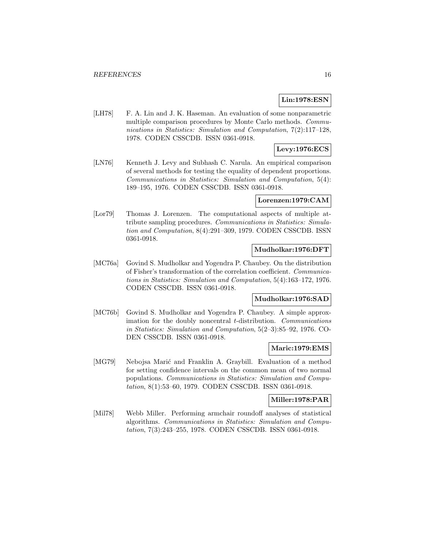# **Lin:1978:ESN**

[LH78] F. A. Lin and J. K. Haseman. An evaluation of some nonparametric multiple comparison procedures by Monte Carlo methods. Communications in Statistics: Simulation and Computation, 7(2):117–128, 1978. CODEN CSSCDB. ISSN 0361-0918.

# **Levy:1976:ECS**

[LN76] Kenneth J. Levy and Subhash C. Narula. An empirical comparison of several methods for testing the equality of dependent proportions. Communications in Statistics: Simulation and Computation, 5(4): 189–195, 1976. CODEN CSSCDB. ISSN 0361-0918.

#### **Lorenzen:1979:CAM**

[Lor79] Thomas J. Lorenzen. The computational aspects of multiple attribute sampling procedures. Communications in Statistics: Simulation and Computation, 8(4):291–309, 1979. CODEN CSSCDB. ISSN 0361-0918.

#### **Mudholkar:1976:DFT**

[MC76a] Govind S. Mudholkar and Yogendra P. Chaubey. On the distribution of Fisher's transformation of the correlation coefficient. Communications in Statistics: Simulation and Computation, 5(4):163–172, 1976. CODEN CSSCDB. ISSN 0361-0918.

#### **Mudholkar:1976:SAD**

[MC76b] Govind S. Mudholkar and Yogendra P. Chaubey. A simple approximation for the doubly noncentral t-distribution. Communications in Statistics: Simulation and Computation, 5(2–3):85–92, 1976. CO-DEN CSSCDB. ISSN 0361-0918.

#### **Maric:1979:EMS**

[MG79] Nebojsa Marić and Franklin A. Graybill. Evaluation of a method for setting confidence intervals on the common mean of two normal populations. Communications in Statistics: Simulation and Computation, 8(1):53–60, 1979. CODEN CSSCDB. ISSN 0361-0918.

#### **Miller:1978:PAR**

[Mil78] Webb Miller. Performing armchair roundoff analyses of statistical algorithms. Communications in Statistics: Simulation and Computation, 7(3):243–255, 1978. CODEN CSSCDB. ISSN 0361-0918.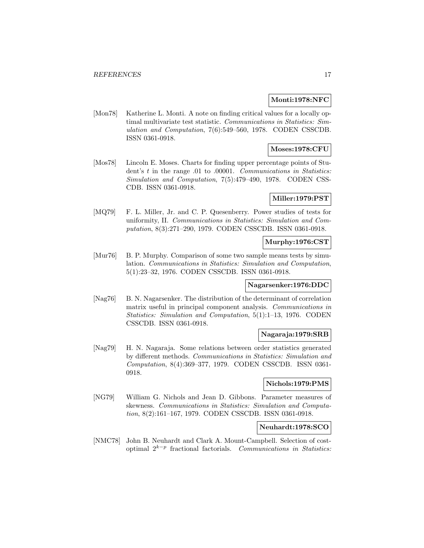#### **Monti:1978:NFC**

[Mon78] Katherine L. Monti. A note on finding critical values for a locally optimal multivariate test statistic. Communications in Statistics: Simulation and Computation, 7(6):549–560, 1978. CODEN CSSCDB. ISSN 0361-0918.

# **Moses:1978:CFU**

[Mos78] Lincoln E. Moses. Charts for finding upper percentage points of Student's t in the range .01 to .00001. Communications in Statistics: Simulation and Computation, 7(5):479–490, 1978. CODEN CSS-CDB. ISSN 0361-0918.

# **Miller:1979:PST**

[MQ79] F. L. Miller, Jr. and C. P. Quesenberry. Power studies of tests for uniformity, II. Communications in Statistics: Simulation and Computation, 8(3):271–290, 1979. CODEN CSSCDB. ISSN 0361-0918.

## **Murphy:1976:CST**

[Mur76] B. P. Murphy. Comparison of some two sample means tests by simulation. Communications in Statistics: Simulation and Computation, 5(1):23–32, 1976. CODEN CSSCDB. ISSN 0361-0918.

# **Nagarsenker:1976:DDC**

[Nag76] B. N. Nagarsenker. The distribution of the determinant of correlation matrix useful in principal component analysis. Communications in Statistics: Simulation and Computation, 5(1):1–13, 1976. CODEN CSSCDB. ISSN 0361-0918.

# **Nagaraja:1979:SRB**

[Nag79] H. N. Nagaraja. Some relations between order statistics generated by different methods. Communications in Statistics: Simulation and Computation, 8(4):369–377, 1979. CODEN CSSCDB. ISSN 0361- 0918.

# **Nichols:1979:PMS**

[NG79] William G. Nichols and Jean D. Gibbons. Parameter measures of skewness. Communications in Statistics: Simulation and Computation, 8(2):161–167, 1979. CODEN CSSCDB. ISSN 0361-0918.

# **Neuhardt:1978:SCO**

[NMC78] John B. Neuhardt and Clark A. Mount-Campbell. Selection of costoptimal 2<sup>k</sup>−<sup>p</sup> fractional factorials. Communications in Statistics: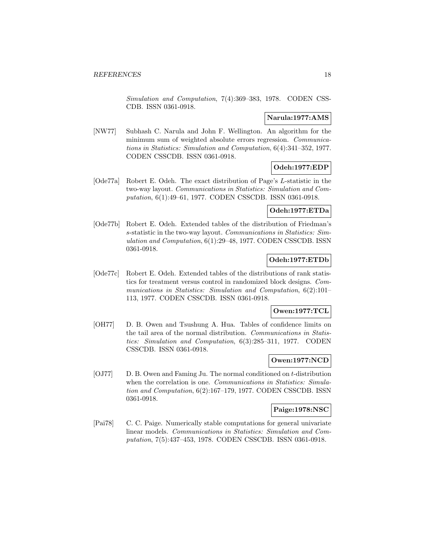Simulation and Computation, 7(4):369–383, 1978. CODEN CSS-CDB. ISSN 0361-0918.

#### **Narula:1977:AMS**

[NW77] Subhash C. Narula and John F. Wellington. An algorithm for the minimum sum of weighted absolute errors regression. Communications in Statistics: Simulation and Computation, 6(4):341–352, 1977. CODEN CSSCDB. ISSN 0361-0918.

# **Odeh:1977:EDP**

[Ode77a] Robert E. Odeh. The exact distribution of Page's L-statistic in the two-way layout. Communications in Statistics: Simulation and Computation, 6(1):49–61, 1977. CODEN CSSCDB. ISSN 0361-0918.

#### **Odeh:1977:ETDa**

[Ode77b] Robert E. Odeh. Extended tables of the distribution of Friedman's s-statistic in the two-way layout. Communications in Statistics: Simulation and Computation, 6(1):29–48, 1977. CODEN CSSCDB. ISSN 0361-0918.

#### **Odeh:1977:ETDb**

[Ode77c] Robert E. Odeh. Extended tables of the distributions of rank statistics for treatment versus control in randomized block designs. Communications in Statistics: Simulation and Computation, 6(2):101– 113, 1977. CODEN CSSCDB. ISSN 0361-0918.

#### **Owen:1977:TCL**

[OH77] D. B. Owen and Tsushung A. Hua. Tables of confidence limits on the tail area of the normal distribution. Communications in Statistics: Simulation and Computation, 6(3):285–311, 1977. CODEN CSSCDB. ISSN 0361-0918.

#### **Owen:1977:NCD**

[OJ77] D. B. Owen and Faming Ju. The normal conditioned on t-distribution when the correlation is one. Communications in Statistics: Simulation and Computation, 6(2):167–179, 1977. CODEN CSSCDB. ISSN 0361-0918.

#### **Paige:1978:NSC**

[Pai78] C. C. Paige. Numerically stable computations for general univariate linear models. Communications in Statistics: Simulation and Computation, 7(5):437–453, 1978. CODEN CSSCDB. ISSN 0361-0918.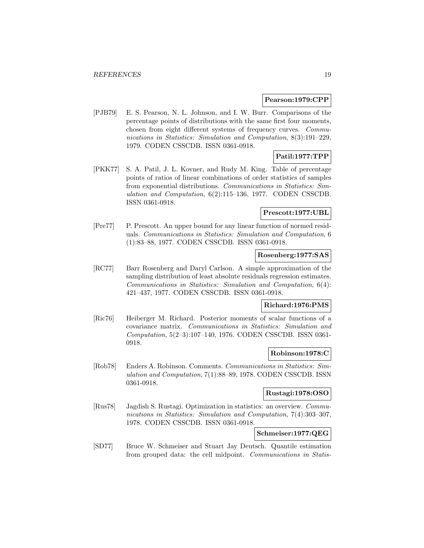#### **Pearson:1979:CPP**

[PJB79] E. S. Pearson, N. L. Johnson, and I. W. Burr. Comparisons of the percentage points of distributions with the same first four moments, chosen from eight different systems of frequency curves. Communications in Statistics: Simulation and Computation, 8(3):191–229, 1979. CODEN CSSCDB. ISSN 0361-0918.

# **Patil:1977:TPP**

[PKK77] S. A. Patil, J. L. Kovner, and Rudy M. King. Table of percentage points of ratios of linear combinations of order statistics of samples from exponential distributions. Communications in Statistics: Simulation and Computation, 6(2):115–136, 1977. CODEN CSSCDB. ISSN 0361-0918.

#### **Prescott:1977:UBL**

[Pre77] P. Prescott. An upper bound for any linear function of normed residuals. Communications in Statistics: Simulation and Computation, 6 (1):83–88, 1977. CODEN CSSCDB. ISSN 0361-0918.

#### **Rosenberg:1977:SAS**

[RC77] Barr Rosenberg and Daryl Carlson. A simple approximation of the sampling distribution of least absolute residuals regression estimates. Communications in Statistics: Simulation and Computation, 6(4): 421–437, 1977. CODEN CSSCDB. ISSN 0361-0918.

# **Richard:1976:PMS**

[Ric76] Heiberger M. Richard. Posterior moments of scalar functions of a covariance matrix. Communications in Statistics: Simulation and Computation, 5(2–3):107–140, 1976. CODEN CSSCDB. ISSN 0361- 0918.

# **Robinson:1978:C**

[Rob78] Enders A. Robinson. Comments. Communications in Statistics: Simulation and Computation, 7(1):88–89, 1978. CODEN CSSCDB. ISSN 0361-0918.

#### **Rustagi:1978:OSO**

[Rus78] Jagdish S. Rustagi. Optimization in statistics: an overview. Communications in Statistics: Simulation and Computation, 7(4):303–307, 1978. CODEN CSSCDB. ISSN 0361-0918.

# **Schmeiser:1977:QEG**

[SD77] Bruce W. Schmeiser and Stuart Jay Deutsch. Quantile estimation from grouped data: the cell midpoint. Communications in Statis-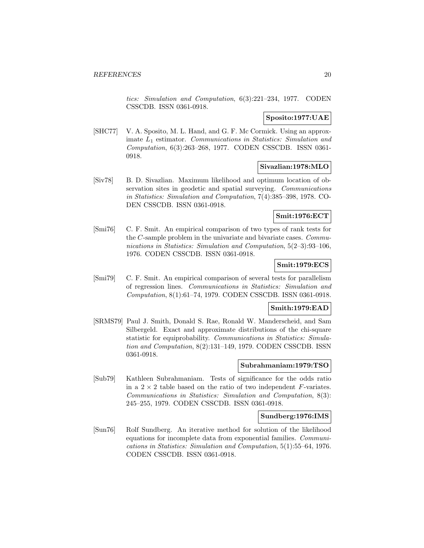tics: Simulation and Computation, 6(3):221–234, 1977. CODEN CSSCDB. ISSN 0361-0918.

# **Sposito:1977:UAE**

[SHC77] V. A. Sposito, M. L. Hand, and G. F. Mc Cormick. Using an approximate  $L_1$  estimator. Communications in Statistics: Simulation and Computation, 6(3):263–268, 1977. CODEN CSSCDB. ISSN 0361- 0918.

#### **Sivazlian:1978:MLO**

[Siv78] B. D. Sivazlian. Maximum likelihood and optimum location of observation sites in geodetic and spatial surveying. *Communications* in Statistics: Simulation and Computation, 7(4):385–398, 1978. CO-DEN CSSCDB. ISSN 0361-0918.

## **Smit:1976:ECT**

[Smi76] C. F. Smit. An empirical comparison of two types of rank tests for the C-sample problem in the univariate and bivariate cases. Communications in Statistics: Simulation and Computation, 5(2–3):93–106, 1976. CODEN CSSCDB. ISSN 0361-0918.

# **Smit:1979:ECS**

[Smi79] C. F. Smit. An empirical comparison of several tests for parallelism of regression lines. Communications in Statistics: Simulation and Computation, 8(1):61–74, 1979. CODEN CSSCDB. ISSN 0361-0918.

# **Smith:1979:EAD**

[SRMS79] Paul J. Smith, Donald S. Rae, Ronald W. Manderscheid, and Sam Silbergeld. Exact and approximate distributions of the chi-square statistic for equiprobability. Communications in Statistics: Simulation and Computation, 8(2):131–149, 1979. CODEN CSSCDB. ISSN 0361-0918.

#### **Subrahmaniam:1979:TSO**

[Sub79] Kathleen Subrahmaniam. Tests of significance for the odds ratio in a  $2 \times 2$  table based on the ratio of two independent F-variates. Communications in Statistics: Simulation and Computation, 8(3): 245–255, 1979. CODEN CSSCDB. ISSN 0361-0918.

#### **Sundberg:1976:IMS**

[Sun76] Rolf Sundberg. An iterative method for solution of the likelihood equations for incomplete data from exponential families. Communications in Statistics: Simulation and Computation, 5(1):55–64, 1976. CODEN CSSCDB. ISSN 0361-0918.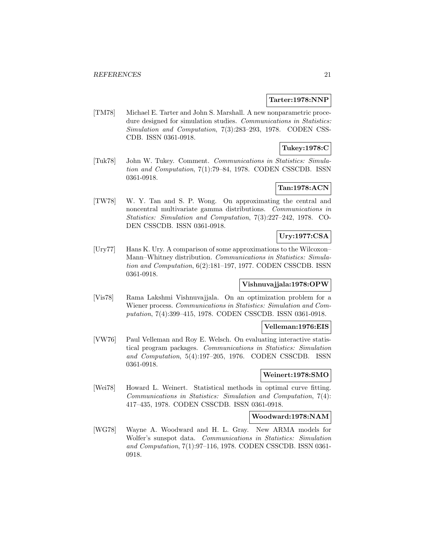#### **Tarter:1978:NNP**

[TM78] Michael E. Tarter and John S. Marshall. A new nonparametric procedure designed for simulation studies. Communications in Statistics: Simulation and Computation, 7(3):283–293, 1978. CODEN CSS-CDB. ISSN 0361-0918.

# **Tukey:1978:C**

[Tuk78] John W. Tukey. Comment. Communications in Statistics: Simulation and Computation, 7(1):79–84, 1978. CODEN CSSCDB. ISSN 0361-0918.

# **Tan:1978:ACN**

[TW78] W. Y. Tan and S. P. Wong. On approximating the central and noncentral multivariate gamma distributions. Communications in Statistics: Simulation and Computation, 7(3):227–242, 1978. CO-DEN CSSCDB. ISSN 0361-0918.

# **Ury:1977:CSA**

[Ury77] Hans K. Ury. A comparison of some approximations to the Wilcoxon– Mann–Whitney distribution. Communications in Statistics: Simulation and Computation, 6(2):181–197, 1977. CODEN CSSCDB. ISSN 0361-0918.

# **Vishnuvajjala:1978:OPW**

[Vis78] Rama Lakshmi Vishnuvajjala. On an optimization problem for a Wiener process. Communications in Statistics: Simulation and Computation, 7(4):399–415, 1978. CODEN CSSCDB. ISSN 0361-0918.

#### **Velleman:1976:EIS**

[VW76] Paul Velleman and Roy E. Welsch. On evaluating interactive statistical program packages. Communications in Statistics: Simulation and Computation, 5(4):197–205, 1976. CODEN CSSCDB. ISSN 0361-0918.

#### **Weinert:1978:SMO**

[Wei78] Howard L. Weinert. Statistical methods in optimal curve fitting. Communications in Statistics: Simulation and Computation, 7(4): 417–435, 1978. CODEN CSSCDB. ISSN 0361-0918.

#### **Woodward:1978:NAM**

[WG78] Wayne A. Woodward and H. L. Gray. New ARMA models for Wolfer's sunspot data. Communications in Statistics: Simulation and Computation, 7(1):97–116, 1978. CODEN CSSCDB. ISSN 0361- 0918.